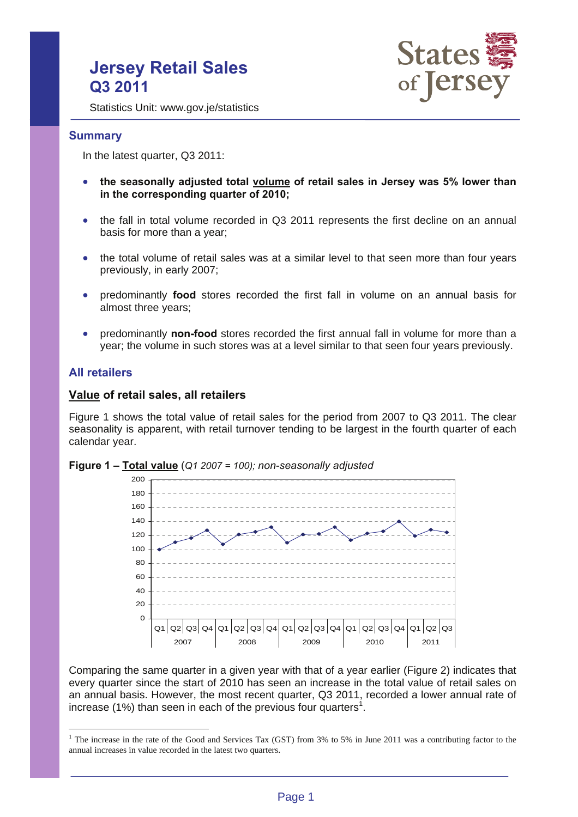# **Jersey Retail Sales Q3 2011**



Statistics Unit: www.gov.je/statistics

### **Summary**

In the latest quarter, Q3 2011:

- the seasonally adjusted total **volume** of retail sales in Jersey was 5% lower than **in the corresponding quarter of 2010;**
- the fall in total volume recorded in Q3 2011 represents the first decline on an annual basis for more than a year;
- the total volume of retail sales was at a similar level to that seen more than four years previously, in early 2007;
- predominantly **food** stores recorded the first fall in volume on an annual basis for almost three years;
- predominantly **non-food** stores recorded the first annual fall in volume for more than a year; the volume in such stores was at a level similar to that seen four years previously.

### **All retailers**

 $\overline{a}$ 

### **Value of retail sales, all retailers**

Figure 1 shows the total value of retail sales for the period from 2007 to Q3 2011. The clear seasonality is apparent, with retail turnover tending to be largest in the fourth quarter of each calendar year.



**Figure 1 – Total value** (*Q1 2007 = 100); non-seasonally adjusted*

Comparing the same quarter in a given year with that of a year earlier (Figure 2) indicates that every quarter since the start of 2010 has seen an increase in the total value of retail sales on an annual basis. However, the most recent quarter, Q3 2011, recorded a lower annual rate of increase (1%) than seen in each of the previous four quarters<sup>1</sup>.

<sup>&</sup>lt;sup>1</sup> The increase in the rate of the Good and Services Tax (GST) from 3% to 5% in June 2011 was a contributing factor to the annual increases in value recorded in the latest two quarters.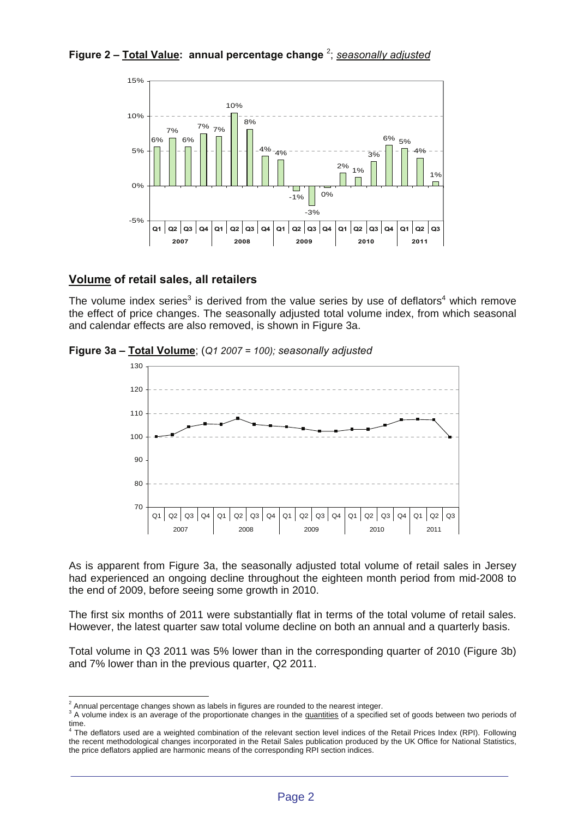# **Figure 2 – Total Value: annual percentage change** <sup>2</sup> ; *seasonally adjusted*



### **Volume of retail sales, all retailers**

The volume index series<sup>3</sup> is derived from the value series by use of deflators<sup>4</sup> which remove the effect of price changes. The seasonally adjusted total volume index, from which seasonal and calendar effects are also removed, is shown in Figure 3a.



**Figure 3a – Total Volume**; (*Q1 2007 = 100); seasonally adjusted*

As is apparent from Figure 3a, the seasonally adjusted total volume of retail sales in Jersey had experienced an ongoing decline throughout the eighteen month period from mid-2008 to the end of 2009, before seeing some growth in 2010.

The first six months of 2011 were substantially flat in terms of the total volume of retail sales. However, the latest quarter saw total volume decline on both an annual and a quarterly basis.

Total volume in Q3 2011 was 5% lower than in the corresponding quarter of 2010 (Figure 3b) and 7% lower than in the previous quarter, Q2 2011.

 $\overline{a}$  $^2$  Annual percentage changes shown as labels in figures are rounded to the nearest integer.

<sup>&</sup>lt;sup>3</sup> A volume index is an average of the proportionate changes in the quantities of a specified set of goods between two periods of time.<br><sup>4</sup> The deflators used are a weighted combination of the relevant section level indices of the Retail Prices Index (RPI). Following

the recent methodological changes incorporated in the Retail Sales publication produced by the UK Office for National Statistics, the price deflators applied are harmonic means of the corresponding RPI section indices.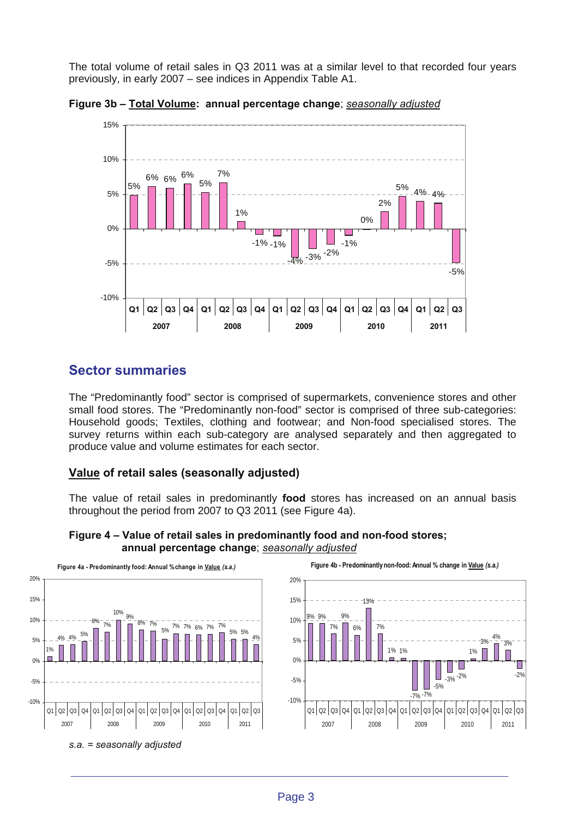The total volume of retail sales in Q3 2011 was at a similar level to that recorded four years previously, in early 2007 – see indices in Appendix Table A1.





**Sector summaries** 

The "Predominantly food" sector is comprised of supermarkets, convenience stores and other small food stores. The "Predominantly non-food" sector is comprised of three sub-categories: Household goods; Textiles, clothing and footwear; and Non-food specialised stores. The survey returns within each sub-category are analysed separately and then aggregated to produce value and volume estimates for each sector.

# **Value of retail sales (seasonally adjusted)**

The value of retail sales in predominantly **food** stores has increased on an annual basis throughout the period from 2007 to Q3 2011 (see Figure 4a).



**Figure 4 – Value of retail sales in predominantly food and non-food stores; annual percentage change**; *seasonally adjusted*

*s.a. = seasonally adjusted* 



**Figure 4b - Predominantly non-food: Annual % change in Value** *(s.a.)*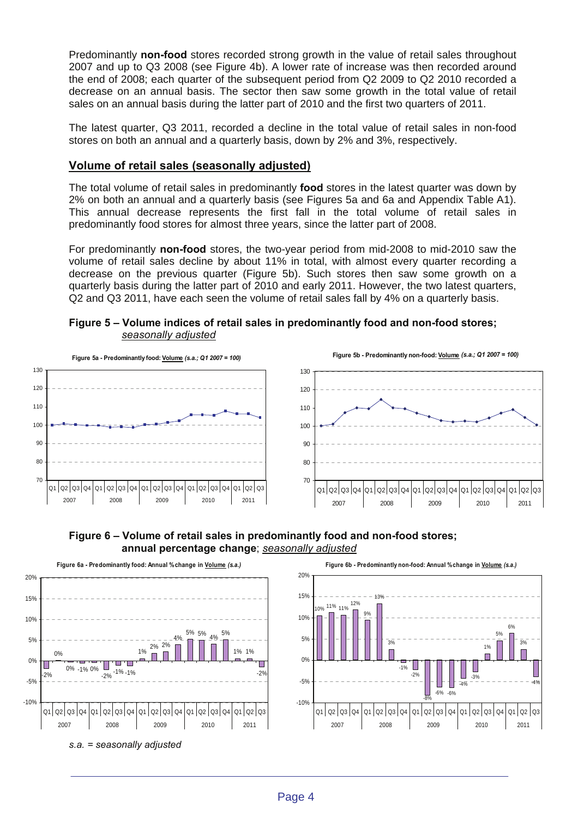Predominantly **non-food** stores recorded strong growth in the value of retail sales throughout 2007 and up to Q3 2008 (see Figure 4b). A lower rate of increase was then recorded around the end of 2008; each quarter of the subsequent period from Q2 2009 to Q2 2010 recorded a decrease on an annual basis. The sector then saw some growth in the total value of retail sales on an annual basis during the latter part of 2010 and the first two quarters of 2011.

The latest quarter, Q3 2011, recorded a decline in the total value of retail sales in non-food stores on both an annual and a quarterly basis, down by 2% and 3%, respectively.

## **Volume of retail sales (seasonally adjusted)**

The total volume of retail sales in predominantly **food** stores in the latest quarter was down by 2% on both an annual and a quarterly basis (see Figures 5a and 6a and Appendix Table A1). This annual decrease represents the first fall in the total volume of retail sales in predominantly food stores for almost three years, since the latter part of 2008.

For predominantly **non-food** stores, the two-year period from mid-2008 to mid-2010 saw the volume of retail sales decline by about 11% in total, with almost every quarter recording a decrease on the previous quarter (Figure 5b). Such stores then saw some growth on a quarterly basis during the latter part of 2010 and early 2011. However, the two latest quarters, Q2 and Q3 2011, have each seen the volume of retail sales fall by 4% on a quarterly basis.

**Figure 5 – Volume indices of retail sales in predominantly food and non-food stores;** *seasonally adjusted*





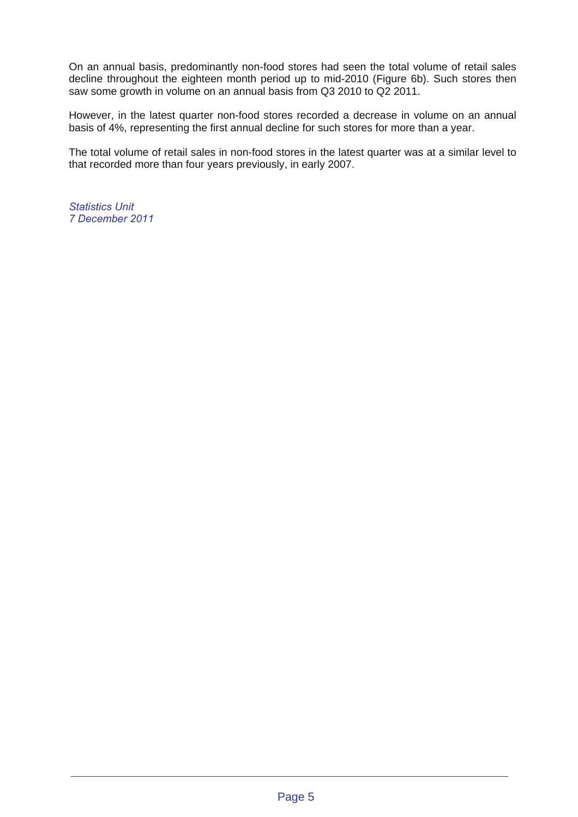On an annual basis, predominantly non-food stores had seen the total volume of retail sales decline throughout the eighteen month period up to mid-2010 (Figure 6b). Such stores then saw some growth in volume on an annual basis from Q3 2010 to Q2 2011.

However, in the latest quarter non-food stores recorded a decrease in volume on an annual basis of 4%, representing the first annual decline for such stores for more than a year.

The total volume of retail sales in non-food stores in the latest quarter was at a similar level to that recorded more than four years previously, in early 2007.

*Statistics Unit 7 December 2011*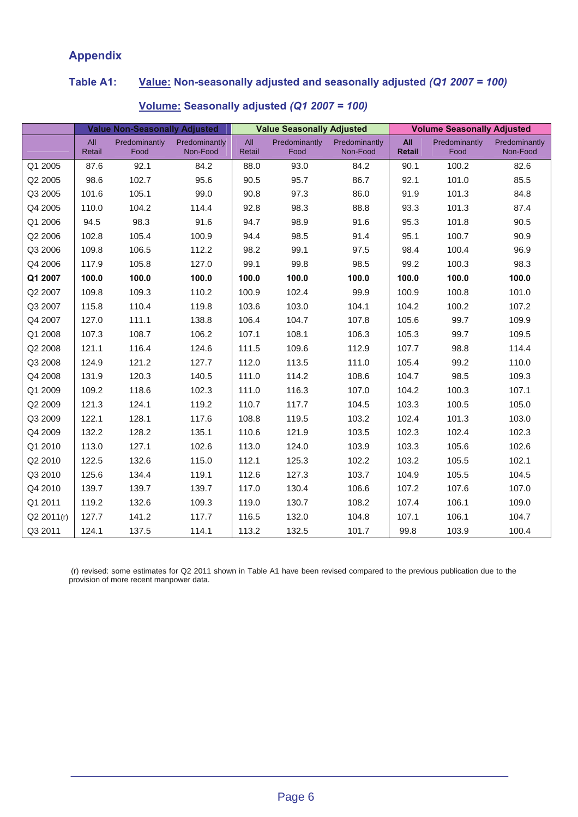# **Appendix**

# **Table A1: Value: Non-seasonally adjusted and seasonally adjusted** *(Q1 2007 = 100)*

|            | <b>Value Non-Seasonally Adjusted</b> |                       |                           | <b>Value Seasonally Adjusted</b> |                       |                           | <b>Volume Seasonally Adjusted</b> |                       |                           |
|------------|--------------------------------------|-----------------------|---------------------------|----------------------------------|-----------------------|---------------------------|-----------------------------------|-----------------------|---------------------------|
|            | All<br>Retail                        | Predominantly<br>Food | Predominantly<br>Non-Food | All<br>Retail                    | Predominantly<br>Food | Predominantly<br>Non-Food | <b>All</b><br>Retail              | Predominantly<br>Food | Predominantly<br>Non-Food |
| Q1 2005    | 87.6                                 | 92.1                  | 84.2                      | 88.0                             | 93.0                  | 84.2                      | 90.1                              | 100.2                 | 82.6                      |
| Q2 2005    | 98.6                                 | 102.7                 | 95.6                      | 90.5                             | 95.7                  | 86.7                      | 92.1                              | 101.0                 | 85.5                      |
| Q3 2005    | 101.6                                | 105.1                 | 99.0                      | 90.8                             | 97.3                  | 86.0                      | 91.9                              | 101.3                 | 84.8                      |
| Q4 2005    | 110.0                                | 104.2                 | 114.4                     | 92.8                             | 98.3                  | 88.8                      | 93.3                              | 101.3                 | 87.4                      |
| Q1 2006    | 94.5                                 | 98.3                  | 91.6                      | 94.7                             | 98.9                  | 91.6                      | 95.3                              | 101.8                 | 90.5                      |
| Q2 2006    | 102.8                                | 105.4                 | 100.9                     | 94.4                             | 98.5                  | 91.4                      | 95.1                              | 100.7                 | 90.9                      |
| Q3 2006    | 109.8                                | 106.5                 | 112.2                     | 98.2                             | 99.1                  | 97.5                      | 98.4                              | 100.4                 | 96.9                      |
| Q4 2006    | 117.9                                | 105.8                 | 127.0                     | 99.1                             | 99.8                  | 98.5                      | 99.2                              | 100.3                 | 98.3                      |
| Q1 2007    | 100.0                                | 100.0                 | 100.0                     | 100.0                            | 100.0                 | 100.0                     | 100.0                             | 100.0                 | 100.0                     |
| Q2 2007    | 109.8                                | 109.3                 | 110.2                     | 100.9                            | 102.4                 | 99.9                      | 100.9                             | 100.8                 | 101.0                     |
| Q3 2007    | 115.8                                | 110.4                 | 119.8                     | 103.6                            | 103.0                 | 104.1                     | 104.2                             | 100.2                 | 107.2                     |
| Q4 2007    | 127.0                                | 111.1                 | 138.8                     | 106.4                            | 104.7                 | 107.8                     | 105.6                             | 99.7                  | 109.9                     |
| Q1 2008    | 107.3                                | 108.7                 | 106.2                     | 107.1                            | 108.1                 | 106.3                     | 105.3                             | 99.7                  | 109.5                     |
| Q2 2008    | 121.1                                | 116.4                 | 124.6                     | 111.5                            | 109.6                 | 112.9                     | 107.7                             | 98.8                  | 114.4                     |
| Q3 2008    | 124.9                                | 121.2                 | 127.7                     | 112.0                            | 113.5                 | 111.0                     | 105.4                             | 99.2                  | 110.0                     |
| Q4 2008    | 131.9                                | 120.3                 | 140.5                     | 111.0                            | 114.2                 | 108.6                     | 104.7                             | 98.5                  | 109.3                     |
| Q1 2009    | 109.2                                | 118.6                 | 102.3                     | 111.0                            | 116.3                 | 107.0                     | 104.2                             | 100.3                 | 107.1                     |
| Q2 2009    | 121.3                                | 124.1                 | 119.2                     | 110.7                            | 117.7                 | 104.5                     | 103.3                             | 100.5                 | 105.0                     |
| Q3 2009    | 122.1                                | 128.1                 | 117.6                     | 108.8                            | 119.5                 | 103.2                     | 102.4                             | 101.3                 | 103.0                     |
| Q4 2009    | 132.2                                | 128.2                 | 135.1                     | 110.6                            | 121.9                 | 103.5                     | 102.3                             | 102.4                 | 102.3                     |
| Q1 2010    | 113.0                                | 127.1                 | 102.6                     | 113.0                            | 124.0                 | 103.9                     | 103.3                             | 105.6                 | 102.6                     |
| Q2 2010    | 122.5                                | 132.6                 | 115.0                     | 112.1                            | 125.3                 | 102.2                     | 103.2                             | 105.5                 | 102.1                     |
| Q3 2010    | 125.6                                | 134.4                 | 119.1                     | 112.6                            | 127.3                 | 103.7                     | 104.9                             | 105.5                 | 104.5                     |
| Q4 2010    | 139.7                                | 139.7                 | 139.7                     | 117.0                            | 130.4                 | 106.6                     | 107.2                             | 107.6                 | 107.0                     |
| Q1 2011    | 119.2                                | 132.6                 | 109.3                     | 119.0                            | 130.7                 | 108.2                     | 107.4                             | 106.1                 | 109.0                     |
| Q2 2011(r) | 127.7                                | 141.2                 | 117.7                     | 116.5                            | 132.0                 | 104.8                     | 107.1                             | 106.1                 | 104.7                     |
| Q3 2011    | 124.1                                | 137.5                 | 114.1                     | 113.2                            | 132.5                 | 101.7                     | 99.8                              | 103.9                 | 100.4                     |

# **Volume: Seasonally adjusted** *(Q1 2007 = 100)*

 (r) revised: some estimates for Q2 2011 shown in Table A1 have been revised compared to the previous publication due to the provision of more recent manpower data.